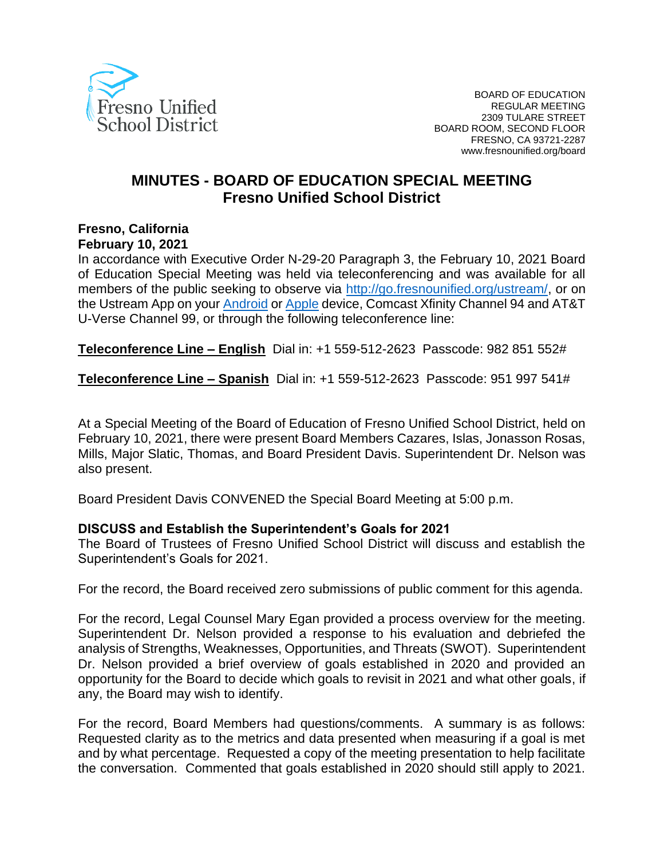

## **MINUTES - BOARD OF EDUCATION SPECIAL MEETING Fresno Unified School District**

## **Fresno, California February 10, 2021**

In accordance with Executive Order N-29-20 Paragraph 3, the February 10, 2021 Board of Education Special Meeting was held via teleconferencing and was available for all members of the public seeking to observe via [http://go.fresnounified.org/ustream/,](http://go.fresnounified.org/ustream/) or on the Ustream App on your [Android](https://play.google.com/store/apps/details?id=tv.ustream.ustream&hl=en_US) or [Apple](https://itunes.apple.com/us/app/ustream/id301520250?mt=8) device, Comcast Xfinity Channel 94 and AT&T

U-Verse Channel 99, or through the following teleconference line:

**Teleconference Line – English** Dial in: +1 559-512-2623 Passcode: 982 851 552#

**Teleconference Line – Spanish** Dial in: +1 559-512-2623 Passcode: 951 997 541#

At a Special Meeting of the Board of Education of Fresno Unified School District, held on February 10, 2021, there were present Board Members Cazares, Islas, Jonasson Rosas, Mills, Major Slatic, Thomas, and Board President Davis. Superintendent Dr. Nelson was also present.

Board President Davis CONVENED the Special Board Meeting at 5:00 p.m.

## **DISCUSS and Establish the Superintendent's Goals for 2021**

The Board of Trustees of Fresno Unified School District will discuss and establish the Superintendent's Goals for 2021.

For the record, the Board received zero submissions of public comment for this agenda.

For the record, Legal Counsel Mary Egan provided a process overview for the meeting. Superintendent Dr. Nelson provided a response to his evaluation and debriefed the analysis of Strengths, Weaknesses, Opportunities, and Threats (SWOT). Superintendent Dr. Nelson provided a brief overview of goals established in 2020 and provided an opportunity for the Board to decide which goals to revisit in 2021 and what other goals, if any, the Board may wish to identify.

For the record, Board Members had questions/comments. A summary is as follows: Requested clarity as to the metrics and data presented when measuring if a goal is met and by what percentage. Requested a copy of the meeting presentation to help facilitate the conversation. Commented that goals established in 2020 should still apply to 2021.